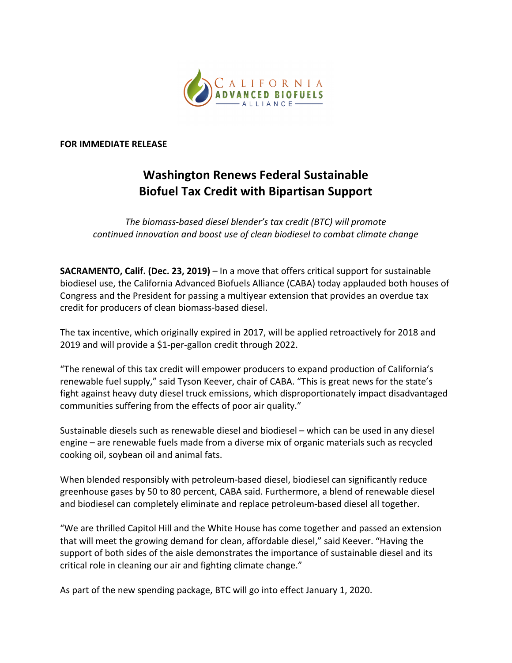

## **FOR IMMEDIATE RELEASE**

## **Washington Renews Federal Sustainable Biofuel Tax Credit with Bipartisan Support**

The biomass-based diesel blender's tax credit (BTC) will promote *continued innovation and boost use of clean biodiesel to combat climate change* 

**SACRAMENTO, Calif. (Dec. 23, 2019)** – In a move that offers critical support for sustainable biodiesel use, the California Advanced Biofuels Alliance (CABA) today applauded both houses of Congress and the President for passing a multiyear extension that provides an overdue tax credit for producers of clean biomass-based diesel.

The tax incentive, which originally expired in 2017, will be applied retroactively for 2018 and 2019 and will provide a \$1-per-gallon credit through 2022.

"The renewal of this tax credit will empower producers to expand production of California's renewable fuel supply," said Tyson Keever, chair of CABA. "This is great news for the state's fight against heavy duty diesel truck emissions, which disproportionately impact disadvantaged communities suffering from the effects of poor air quality."

Sustainable diesels such as renewable diesel and biodiesel – which can be used in any diesel engine – are renewable fuels made from a diverse mix of organic materials such as recycled cooking oil, soybean oil and animal fats.

When blended responsibly with petroleum-based diesel, biodiesel can significantly reduce greenhouse gases by 50 to 80 percent, CABA said. Furthermore, a blend of renewable diesel and biodiesel can completely eliminate and replace petroleum-based diesel all together.

"We are thrilled Capitol Hill and the White House has come together and passed an extension that will meet the growing demand for clean, affordable diesel," said Keever. "Having the support of both sides of the aisle demonstrates the importance of sustainable diesel and its critical role in cleaning our air and fighting climate change."

As part of the new spending package, BTC will go into effect January 1, 2020.